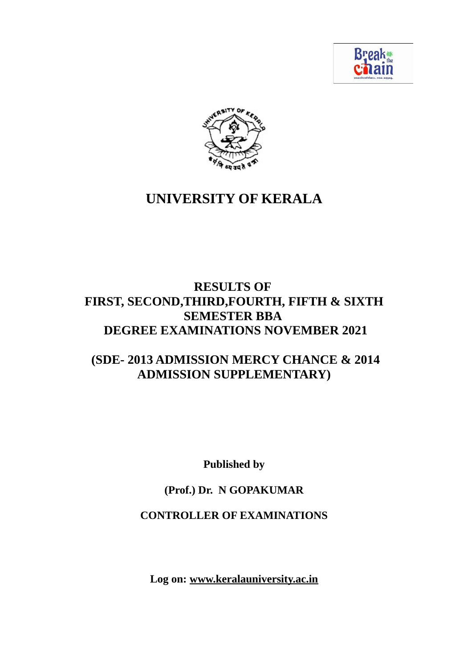



# **UNIVERSITY OF KERALA**

# **RESULTS OF FIRST, SECOND,THIRD,FOURTH, FIFTH & SIXTH SEMESTER BBA DEGREE EXAMINATIONS NOVEMBER 2021**

# **(SDE- 2013 ADMISSION MERCY CHANCE & 2014 ADMISSION SUPPLEMENTARY)**

**Published by**

# **(Prof.) Dr. N GOPAKUMAR**

# **CONTROLLER OF EXAMINATIONS**

**Log on: www.keralauniversity.ac.in**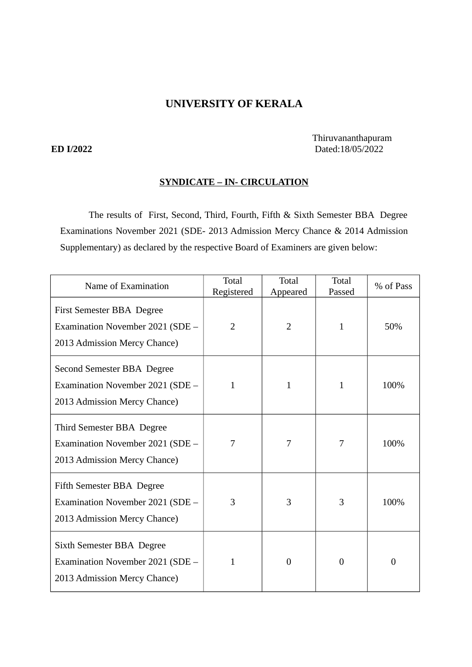# **UNIVERSITY OF KERALA**

 Thiruvananthapuram **ED I/2022** Dated:18/05/2022

## **SYNDICATE – IN- CIRCULATION**

The results of First, Second, Third, Fourth, Fifth & Sixth Semester BBA Degree Examinations November 2021 (SDE- 2013 Admission Mercy Chance & 2014 Admission Supplementary) as declared by the respective Board of Examiners are given below:

| Name of Examination                                                                                  | Total<br>Registered | <b>Total</b><br>Appeared | Total<br>Passed | % of Pass |
|------------------------------------------------------------------------------------------------------|---------------------|--------------------------|-----------------|-----------|
| First Semester BBA Degree<br>Examination November 2021 (SDE -<br>2013 Admission Mercy Chance)        | $\overline{2}$      | $\overline{2}$           | $\mathbf{1}$    | 50%       |
| Second Semester BBA Degree<br>Examination November 2021 (SDE -<br>2013 Admission Mercy Chance)       | 1                   | 1                        | 1               | 100%      |
| Third Semester BBA Degree<br>Examination November 2021 (SDE -<br>2013 Admission Mercy Chance)        | 7                   | 7                        | 7               | 100%      |
| <b>Fifth Semester BBA Degree</b><br>Examination November 2021 (SDE -<br>2013 Admission Mercy Chance) | 3                   | 3                        | 3               | 100%      |
| Sixth Semester BBA Degree<br>Examination November 2021 (SDE -<br>2013 Admission Mercy Chance)        | $\mathbf{1}$        | $\boldsymbol{0}$         | $\Omega$        | $\theta$  |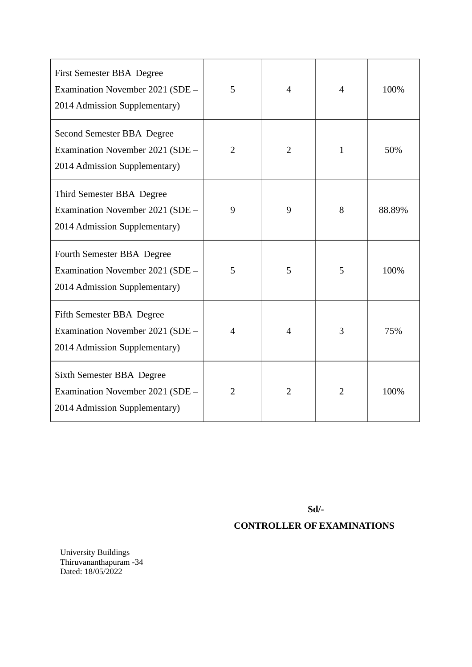| <b>First Semester BBA Degree</b><br>Examination November 2021 (SDE -<br>2014 Admission Supplementary) | 5                        | 4              | 4            | 100%   |
|-------------------------------------------------------------------------------------------------------|--------------------------|----------------|--------------|--------|
| Second Semester BBA Degree<br>Examination November 2021 (SDE -<br>2014 Admission Supplementary)       | $\overline{2}$           | 2              | $\mathbf{1}$ | 50%    |
| Third Semester BBA Degree<br>Examination November 2021 (SDE -<br>2014 Admission Supplementary)        | 9                        | 9              | 8            | 88.89% |
| Fourth Semester BBA Degree<br>Examination November 2021 (SDE -<br>2014 Admission Supplementary)       | 5                        | 5              | 5            | 100%   |
| <b>Fifth Semester BBA Degree</b><br>Examination November 2021 (SDE -<br>2014 Admission Supplementary) | $\overline{\mathcal{A}}$ | 4              | 3            | 75%    |
| Sixth Semester BBA Degree<br>Examination November 2021 (SDE -<br>2014 Admission Supplementary)        | 2                        | $\overline{2}$ | 2            | 100%   |

**Sd/-**

# **CONTROLLER OF EXAMINATIONS**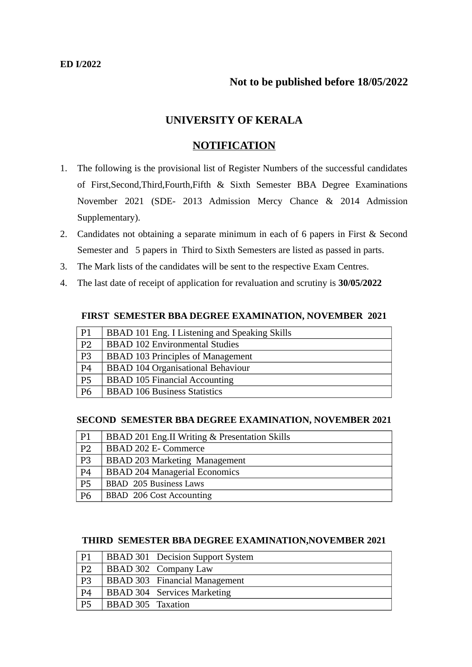# **Not to be published before 18/05/2022**

# **UNIVERSITY OF KERALA**

## **NOTIFICATION**

- 1. The following is the provisional list of Register Numbers of the successful candidates of First,Second,Third,Fourth,Fifth & Sixth Semester BBA Degree Examinations November 2021 (SDE- 2013 Admission Mercy Chance & 2014 Admission Supplementary).
- 2. Candidates not obtaining a separate minimum in each of 6 papers in First & Second Semester and 5 papers in Third to Sixth Semesters are listed as passed in parts.
- 3. The Mark lists of the candidates will be sent to the respective Exam Centres.
- 4. The last date of receipt of application for revaluation and scrutiny is **30/05/2022**

#### **FIRST SEMESTER BBA DEGREE EXAMINATION, NOVEMBER 2021**

| P <sub>1</sub> | BBAD 101 Eng. I Listening and Speaking Skills |
|----------------|-----------------------------------------------|
| P <sub>2</sub> | <b>BBAD 102 Environmental Studies</b>         |
| P <sub>3</sub> | <b>BBAD 103 Principles of Management</b>      |
| P <sub>4</sub> | <b>BBAD 104 Organisational Behaviour</b>      |
| <b>P5</b>      | <b>BBAD 105 Financial Accounting</b>          |
| <b>P6</b>      | <b>BBAD 106 Business Statistics</b>           |

#### **SECOND SEMESTER BBA DEGREE EXAMINATION, NOVEMBER 2021**

| P <sub>1</sub> | BBAD 201 Eng.II Writing & Presentation Skills |
|----------------|-----------------------------------------------|
| P <sub>2</sub> | <b>BBAD 202 E- Commerce</b>                   |
| P <sub>3</sub> | <b>BBAD 203 Marketing Management</b>          |
| P <sub>4</sub> | <b>BBAD 204 Managerial Economics</b>          |
| <b>P5</b>      | BBAD 205 Business Laws                        |
| <b>P6</b>      | BBAD 206 Cost Accounting                      |

#### **THIRD SEMESTER BBA DEGREE EXAMINATION,NOVEMBER 2021**

| P1             |                          | <b>BBAD 301 Decision Support System</b> |
|----------------|--------------------------|-----------------------------------------|
| P <sub>2</sub> |                          | BBAD 302 Company Law                    |
| P <sub>3</sub> |                          | <b>BBAD 303</b> Financial Management    |
| P <sub>4</sub> |                          | <b>BBAD 304 Services Marketing</b>      |
| <b>P5</b>      | <b>BBAD 305 Taxation</b> |                                         |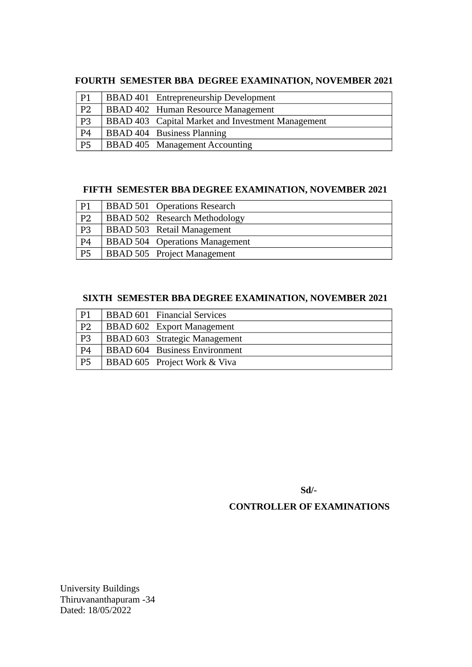## **FOURTH SEMESTER BBA DEGREE EXAMINATION, NOVEMBER 2021**

| P <sub>1</sub>  | BBAD 401 Entrepreneurship Development             |
|-----------------|---------------------------------------------------|
| P <sub>2</sub>  | BBAD 402 Human Resource Management                |
| $\overline{P3}$ | BBAD 403 Capital Market and Investment Management |
| P <sub>4</sub>  | <b>BBAD 404</b> Business Planning                 |
| $\overline{PS}$ | BBAD 405 Management Accounting                    |

# **FIFTH SEMESTER BBA DEGREE EXAMINATION, NOVEMBER 2021**

| P <sub>1</sub> | <b>BBAD 501 Operations Research</b>   |
|----------------|---------------------------------------|
| P <sub>2</sub> | BBAD 502 Research Methodology         |
| P <sub>3</sub> | <b>BBAD 503</b> Retail Management     |
| P <sub>4</sub> | <b>BBAD 504</b> Operations Management |
| <b>P5</b>      | <b>BBAD 505</b> Project Management    |

# **SIXTH SEMESTER BBA DEGREE EXAMINATION, NOVEMBER 2021**

| P <sub>1</sub> | <b>BBAD 601</b> Financial Services   |
|----------------|--------------------------------------|
| P <sub>2</sub> | <b>BBAD 602</b> Export Management    |
| P <sub>3</sub> | <b>BBAD 603</b> Strategic Management |
| P <sub>4</sub> | <b>BBAD 604</b> Business Environment |
| P <sub>5</sub> | BBAD 605 Project Work & Viva         |

**Sd/-**

# **CONTROLLER OF EXAMINATIONS**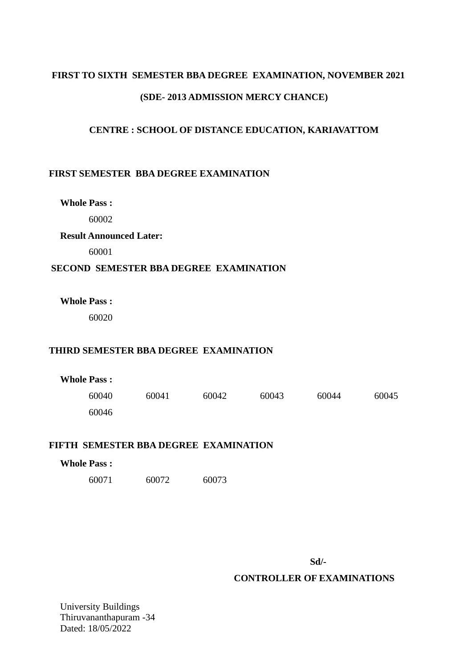# **FIRST TO SIXTH SEMESTER BBA DEGREE EXAMINATION, NOVEMBER 2021 (SDE- 2013 ADMISSION MERCY CHANCE)**

## **CENTRE : SCHOOL OF DISTANCE EDUCATION, KARIAVATTOM**

### **FIRST SEMESTER BBA DEGREE EXAMINATION**

**Whole Pass :**

60002

**Result Announced Later:**

60001

#### **SECOND SEMESTER BBA DEGREE EXAMINATION**

**Whole Pass :**

60020

#### **THIRD SEMESTER BBA DEGREE EXAMINATION**

| <b>Whole Pass :</b> |       |       |       |       |       |
|---------------------|-------|-------|-------|-------|-------|
| 60040               | 60041 | 60042 | 60043 | 60044 | 60045 |
| 60046               |       |       |       |       |       |

#### **FIFTH SEMESTER BBA DEGREE EXAMINATION**

# **Whole Pass :** 60071 60072 60073

**Sd/-**

### **CONTROLLER OF EXAMINATIONS**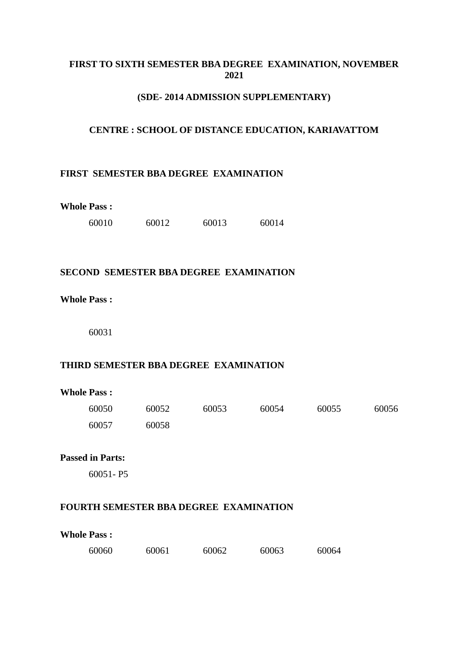### **FIRST TO SIXTH SEMESTER BBA DEGREE EXAMINATION, NOVEMBER 2021**

#### **(SDE- 2014 ADMISSION SUPPLEMENTARY)**

#### **CENTRE : SCHOOL OF DISTANCE EDUCATION, KARIAVATTOM**

#### **FIRST SEMESTER BBA DEGREE EXAMINATION**

#### **Whole Pass :**

| 60010 | 60012 | 60013 | 60014 |
|-------|-------|-------|-------|
|       |       |       |       |

#### **SECOND SEMESTER BBA DEGREE EXAMINATION**

#### **Whole Pass :**

60031

#### **THIRD SEMESTER BBA DEGREE EXAMINATION**

#### **Whole Pass :**

| 60050 | 60052 | 60053 | 60054 | 60055 | 60056 |
|-------|-------|-------|-------|-------|-------|
| 60057 | 60058 |       |       |       |       |

# **Passed in Parts:**

60051- P5

### **FOURTH SEMESTER BBA DEGREE EXAMINATION**

**Whole Pass :**

| 60060 | 60061 | 60062 | 60063 | 60064 |
|-------|-------|-------|-------|-------|